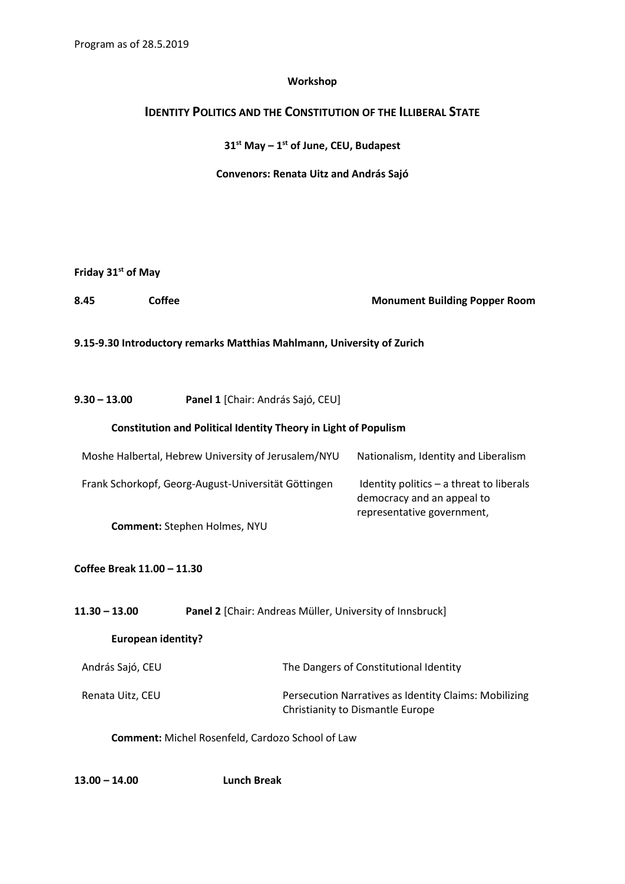## **Workshop**

## **IDENTITY POLITICS AND THE CONSTITUTION OF THE ILLIBERAL STATE**

**31 st May – 1 st of June, CEU, Budapest**

**Convenors: Renata Uitz and András Sajó**

| Friday 31 <sup>st</sup> of May |  |  |
|--------------------------------|--|--|
|--------------------------------|--|--|

**8.45 Coffee Monument Building Popper Room**

## **9.15-9.30 Introductory remarks Matthias Mahlmann, University of Zurich**

**9.30 – 13.00 Panel 1** [Chair: András Sajó, CEU]

## **Constitution and Political Identity Theory in Light of Populism**

| Moshe Halbertal, Hebrew University of Jerusalem/NYU | Nationalism, Identity and Liberalism                                                                   |
|-----------------------------------------------------|--------------------------------------------------------------------------------------------------------|
| Frank Schorkopf, Georg-August-Universität Göttingen | Identity politics $-$ a threat to liberals<br>democracy and an appeal to<br>representative government, |
| <b>Comment:</b> Stephen Holmes, NYU                 |                                                                                                        |

**Coffee Break 11.00 – 11.30**

| 11.30 – 13.00             | Panel 2 [Chair: Andreas Müller, University of Innsbruck]                                  |  |  |
|---------------------------|-------------------------------------------------------------------------------------------|--|--|
| <b>European identity?</b> |                                                                                           |  |  |
| András Sajó, CEU          | The Dangers of Constitutional Identity                                                    |  |  |
| Renata Uitz, CEU          | Persecution Narratives as Identity Claims: Mobilizing<br>Christianity to Dismantle Europe |  |  |

**Comment:** Michel Rosenfeld, Cardozo School of Law

**13.00 – 14.00 Lunch Break**